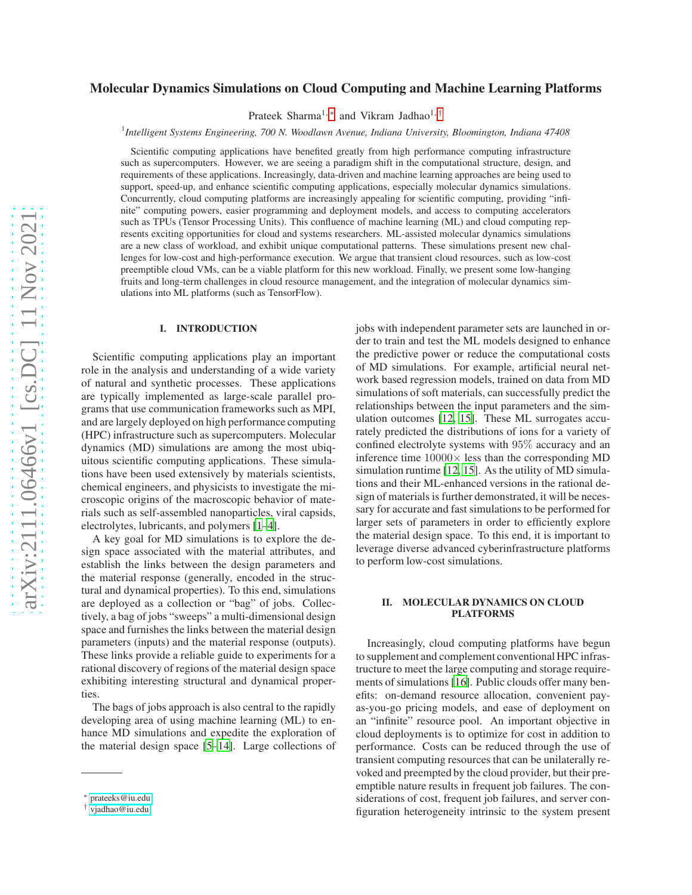# arXiv:2111.06466v1 [cs.DC] 11 Nov 2021 [arXiv:2111.06466v1 \[cs.DC\] 11 Nov 2021](http://arxiv.org/abs/2111.06466v1)

# Molecular Dynamics Simulations on Cloud Computing and Machine Learning Platforms

Prateek Sharma<sup>1,\*</sup> and Vikram Jadhao<sup>1,[†](#page-0-1)</sup>

1 *Intelligent Systems Engineering, 700 N. Woodlawn Avenue, Indiana University, Bloomington, Indiana 47408*

Scientific computing applications have benefited greatly from high performance computing infrastructure such as supercomputers. However, we are seeing a paradigm shift in the computational structure, design, and requirements of these applications. Increasingly, data-driven and machine learning approaches are being used to support, speed-up, and enhance scientific computing applications, especially molecular dynamics simulations. Concurrently, cloud computing platforms are increasingly appealing for scientific computing, providing "infinite" computing powers, easier programming and deployment models, and access to computing accelerators such as TPUs (Tensor Processing Units). This confluence of machine learning (ML) and cloud computing represents exciting opportunities for cloud and systems researchers. ML-assisted molecular dynamics simulations are a new class of workload, and exhibit unique computational patterns. These simulations present new challenges for low-cost and high-performance execution. We argue that transient cloud resources, such as low-cost preemptible cloud VMs, can be a viable platform for this new workload. Finally, we present some low-hanging fruits and long-term challenges in cloud resource management, and the integration of molecular dynamics simulations into ML platforms (such as TensorFlow).

### I. INTRODUCTION

Scientific computing applications play an important role in the analysis and understanding of a wide variety of natural and synthetic processes. These applications are typically implemented as large-scale parallel programs that use communication frameworks such as MPI, and are largely deployed on high performance computing (HPC) infrastructure such as supercomputers. Molecular dynamics (MD) simulations are among the most ubiquitous scientific computing applications. These simulations have been used extensively by materials scientists, chemical engineers, and physicists to investigate the microscopic origins of the macroscopic behavior of materials such as self-assembled nanoparticles, viral capsids, electrolytes, lubricants, and polymers [\[1](#page-2-0)[–4\]](#page-2-1).

A key goal for MD simulations is to explore the design space associated with the material attributes, and establish the links between the design parameters and the material response (generally, encoded in the structural and dynamical properties). To this end, simulations are deployed as a collection or "bag" of jobs. Collectively, a bag of jobs "sweeps" a multi-dimensional design space and furnishes the links between the material design parameters (inputs) and the material response (outputs). These links provide a reliable guide to experiments for a rational discovery of regions of the material design space exhibiting interesting structural and dynamical properties.

The bags of jobs approach is also central to the rapidly developing area of using machine learning (ML) to enhance MD simulations and expedite the exploration of the material design space [\[5](#page-2-2)[–14\]](#page-3-0). Large collections of jobs with independent parameter sets are launched in order to train and test the ML models designed to enhance the predictive power or reduce the computational costs of MD simulations. For example, artificial neural network based regression models, trained on data from MD simulations of soft materials, can successfully predict the relationships between the input parameters and the simulation outcomes [\[12,](#page-3-1) [15\]](#page-3-2). These ML surrogates accurately predicted the distributions of ions for a variety of confined electrolyte systems with 95% accuracy and an inference time  $10000 \times$  less than the corresponding MD simulation runtime [\[12](#page-3-1), [15\]](#page-3-2). As the utility of MD simulations and their ML-enhanced versions in the rational design of materials is further demonstrated, it will be necessary for accurate and fast simulations to be performed for larger sets of parameters in order to efficiently explore the material design space. To this end, it is important to leverage diverse advanced cyberinfrastructure platforms to perform low-cost simulations.

### II. MOLECULAR DYNAMICS ON CLOUD PLATFORMS

Increasingly, cloud computing platforms have begun to supplement and complement conventional HPC infrastructure to meet the large computing and storage requirements of simulations [\[16\]](#page-3-3). Public clouds offer many benefits: on-demand resource allocation, convenient payas-you-go pricing models, and ease of deployment on an "infinite" resource pool. An important objective in cloud deployments is to optimize for cost in addition to performance. Costs can be reduced through the use of transient computing resources that can be unilaterally revoked and preempted by the cloud provider, but their preemptible nature results in frequent job failures. The considerations of cost, frequent job failures, and server configuration heterogeneity intrinsic to the system present

<span id="page-0-0"></span><sup>∗</sup> [prateeks@iu.edu](mailto:prateeks@iu.edu)

<span id="page-0-1"></span><sup>†</sup> [vjadhao@iu.edu](mailto:vjadhao@iu.edu)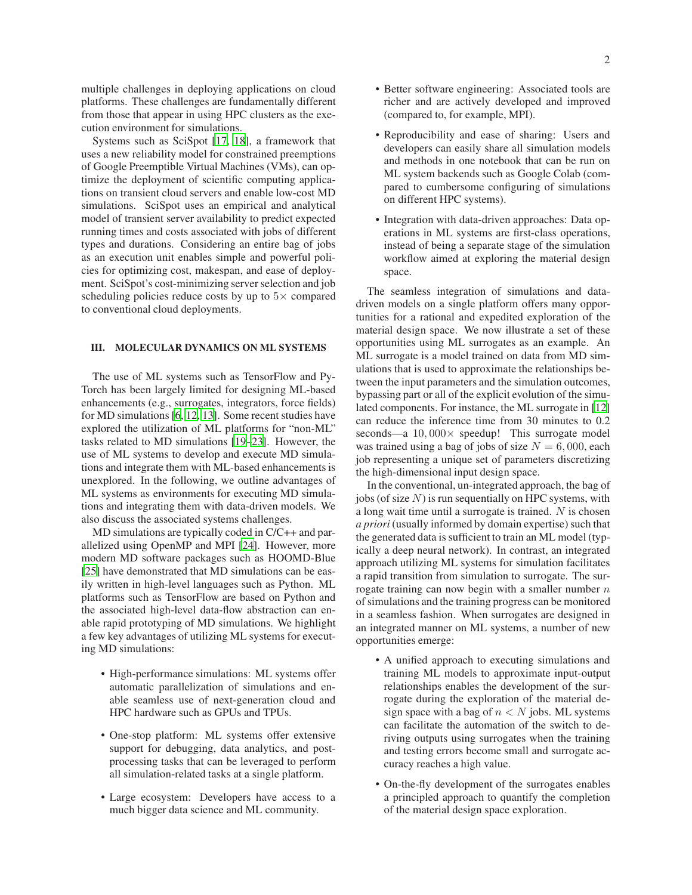multiple challenges in deploying applications on cloud platforms. These challenges are fundamentally different from those that appear in using HPC clusters as the execution environment for simulations.

Systems such as SciSpot [\[17,](#page-3-4) [18](#page-3-5)], a framework that uses a new reliability model for constrained preemptions of Google Preemptible Virtual Machines (VMs), can optimize the deployment of scientific computing applications on transient cloud servers and enable low-cost MD simulations. SciSpot uses an empirical and analytical model of transient server availability to predict expected running times and costs associated with jobs of different types and durations. Considering an entire bag of jobs as an execution unit enables simple and powerful policies for optimizing cost, makespan, and ease of deployment. SciSpot's cost-minimizing server selection and job scheduling policies reduce costs by up to  $5\times$  compared to conventional cloud deployments.

## III. MOLECULAR DYNAMICS ON ML SYSTEMS

The use of ML systems such as TensorFlow and Py-Torch has been largely limited for designing ML-based enhancements (e.g., surrogates, integrators, force fields) for MD simulations [\[6](#page-2-3), [12,](#page-3-1) [13\]](#page-3-6). Some recent studies have explored the utilization of ML platforms for "non-ML" tasks related to MD simulations [\[19](#page-3-7)[–23\]](#page-3-8). However, the use of ML systems to develop and execute MD simulations and integrate them with ML-based enhancements is unexplored. In the following, we outline advantages of ML systems as environments for executing MD simulations and integrating them with data-driven models. We also discuss the associated systems challenges.

MD simulations are typically coded in  $C/C++$  and parallelized using OpenMP and MPI [\[24\]](#page-3-9). However, more modern MD software packages such as HOOMD-Blue [\[25](#page-3-10)] have demonstrated that MD simulations can be easily written in high-level languages such as Python. ML platforms such as TensorFlow are based on Python and the associated high-level data-flow abstraction can enable rapid prototyping of MD simulations. We highlight a few key advantages of utilizing ML systems for executing MD simulations:

- High-performance simulations: ML systems offer automatic parallelization of simulations and enable seamless use of next-generation cloud and HPC hardware such as GPUs and TPUs.
- One-stop platform: ML systems offer extensive support for debugging, data analytics, and postprocessing tasks that can be leveraged to perform all simulation-related tasks at a single platform.
- Large ecosystem: Developers have access to a much bigger data science and ML community.
- Better software engineering: Associated tools are richer and are actively developed and improved (compared to, for example, MPI).
- Reproducibility and ease of sharing: Users and developers can easily share all simulation models and methods in one notebook that can be run on ML system backends such as Google Colab (compared to cumbersome configuring of simulations on different HPC systems).
- Integration with data-driven approaches: Data operations in ML systems are first-class operations, instead of being a separate stage of the simulation workflow aimed at exploring the material design space.

The seamless integration of simulations and datadriven models on a single platform offers many opportunities for a rational and expedited exploration of the material design space. We now illustrate a set of these opportunities using ML surrogates as an example. An ML surrogate is a model trained on data from MD simulations that is used to approximate the relationships between the input parameters and the simulation outcomes, bypassing part or all of the explicit evolution of the simulated components. For instance, the ML surrogate in [\[12\]](#page-3-1) can reduce the inference time from 30 minutes to 0.2 seconds—a  $10,000 \times$  speedup! This surrogate model was trained using a bag of jobs of size  $N = 6,000$ , each job representing a unique set of parameters discretizing the high-dimensional input design space.

In the conventional, un-integrated approach, the bag of jobs (of size  $N$ ) is run sequentially on HPC systems, with a long wait time until a surrogate is trained. N is chosen *a priori* (usually informed by domain expertise) such that the generated data is sufficient to train an ML model (typically a deep neural network). In contrast, an integrated approach utilizing ML systems for simulation facilitates a rapid transition from simulation to surrogate. The surrogate training can now begin with a smaller number  $n$ of simulations and the training progress can be monitored in a seamless fashion. When surrogates are designed in an integrated manner on ML systems, a number of new opportunities emerge:

- A unified approach to executing simulations and training ML models to approximate input-output relationships enables the development of the surrogate during the exploration of the material design space with a bag of  $n < N$  jobs. ML systems can facilitate the automation of the switch to deriving outputs using surrogates when the training and testing errors become small and surrogate accuracy reaches a high value.
- On-the-fly development of the surrogates enables a principled approach to quantify the completion of the material design space exploration.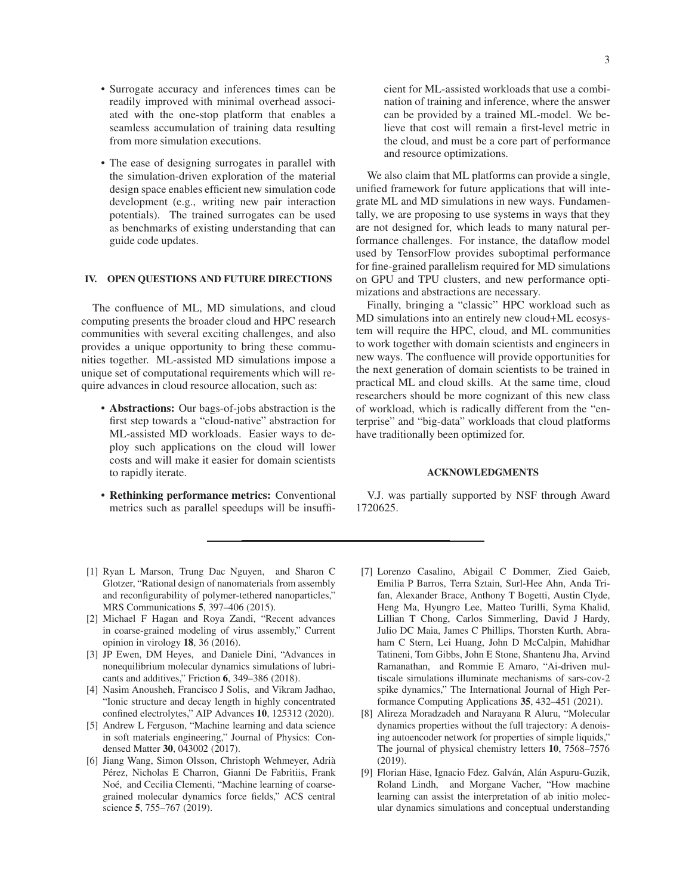- Surrogate accuracy and inferences times can be readily improved with minimal overhead associated with the one-stop platform that enables a seamless accumulation of training data resulting from more simulation executions.
- The ease of designing surrogates in parallel with the simulation-driven exploration of the material design space enables efficient new simulation code development (e.g., writing new pair interaction potentials). The trained surrogates can be used as benchmarks of existing understanding that can guide code updates.

### IV. OPEN QUESTIONS AND FUTURE DIRECTIONS

The confluence of ML, MD simulations, and cloud computing presents the broader cloud and HPC research communities with several exciting challenges, and also provides a unique opportunity to bring these communities together. ML-assisted MD simulations impose a unique set of computational requirements which will require advances in cloud resource allocation, such as:

- Abstractions: Our bags-of-jobs abstraction is the first step towards a "cloud-native" abstraction for ML-assisted MD workloads. Easier ways to deploy such applications on the cloud will lower costs and will make it easier for domain scientists to rapidly iterate.
- Rethinking performance metrics: Conventional metrics such as parallel speedups will be insuffi-

cient for ML-assisted workloads that use a combination of training and inference, where the answer can be provided by a trained ML-model. We believe that cost will remain a first-level metric in the cloud, and must be a core part of performance and resource optimizations.

We also claim that ML platforms can provide a single, unified framework for future applications that will integrate ML and MD simulations in new ways. Fundamentally, we are proposing to use systems in ways that they are not designed for, which leads to many natural performance challenges. For instance, the dataflow model used by TensorFlow provides suboptimal performance for fine-grained parallelism required for MD simulations on GPU and TPU clusters, and new performance optimizations and abstractions are necessary.

Finally, bringing a "classic" HPC workload such as MD simulations into an entirely new cloud+ML ecosystem will require the HPC, cloud, and ML communities to work together with domain scientists and engineers in new ways. The confluence will provide opportunities for the next generation of domain scientists to be trained in practical ML and cloud skills. At the same time, cloud researchers should be more cognizant of this new class of workload, which is radically different from the "enterprise" and "big-data" workloads that cloud platforms have traditionally been optimized for.

### ACKNOWLEDGMENTS

V.J. was partially supported by NSF through Award 1720625.

- <span id="page-2-0"></span>[1] Ryan L Marson, Trung Dac Nguyen, and Sharon C Glotzer, "Rational design of nanomaterials from assembly and reconfigurability of polymer-tethered nanoparticles," MRS Communications 5, 397–406 (2015).
- [2] Michael F Hagan and Roya Zandi, "Recent advances in coarse-grained modeling of virus assembly," Current opinion in virology 18, 36 (2016).
- [3] JP Ewen, DM Heyes, and Daniele Dini, "Advances in nonequilibrium molecular dynamics simulations of lubricants and additives," Friction 6, 349–386 (2018).
- <span id="page-2-1"></span>[4] Nasim Anousheh, Francisco J Solis, and Vikram Jadhao, "Ionic structure and decay length in highly concentrated confined electrolytes," AIP Advances 10, 125312 (2020).
- <span id="page-2-2"></span>[5] Andrew L Ferguson, "Machine learning and data science in soft materials engineering," Journal of Physics: Condensed Matter 30, 043002 (2017).
- <span id="page-2-3"></span>[6] Jiang Wang, Simon Olsson, Christoph Wehmeyer, Adrià Pérez, Nicholas E Charron, Gianni De Fabritiis, Frank Noé, and Cecilia Clementi, "Machine learning of coarsegrained molecular dynamics force fields," ACS central science 5, 755–767 (2019).
- [7] Lorenzo Casalino, Abigail C Dommer, Zied Gaieb, Emilia P Barros, Terra Sztain, Surl-Hee Ahn, Anda Trifan, Alexander Brace, Anthony T Bogetti, Austin Clyde, Heng Ma, Hyungro Lee, Matteo Turilli, Syma Khalid, Lillian T Chong, Carlos Simmerling, David J Hardy, Julio DC Maia, James C Phillips, Thorsten Kurth, Abraham C Stern, Lei Huang, John D McCalpin, Mahidhar Tatineni, Tom Gibbs, John E Stone, Shantenu Jha, Arvind Ramanathan, and Rommie E Amaro, "Ai-driven multiscale simulations illuminate mechanisms of sars-cov-2 spike dynamics," The International Journal of High Performance Computing Applications 35, 432–451 (2021).
- [8] Alireza Moradzadeh and Narayana R Aluru, "Molecular dynamics properties without the full trajectory: A denoising autoencoder network for properties of simple liquids," The journal of physical chemistry letters 10, 7568–7576 (2019).
- [9] Florian Häse, Ignacio Fdez. Galván, Alán Aspuru-Guzik, Roland Lindh, and Morgane Vacher, "How machine learning can assist the interpretation of ab initio molecular dynamics simulations and conceptual understanding